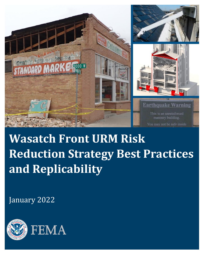

# **Wasatch Front URM Risk Reduction Strategy Best Practices and Replicability**

January 2022

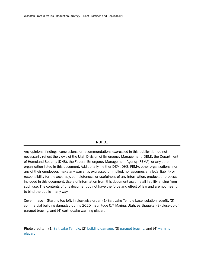#### **NOTICE**

Any opinions, findings, conclusions, or recommendations expressed in this publication do not necessarily reflect the views of the Utah Division of Emergency Management (DEM), the Department of Homeland Security (DHS), the Federal Emergency Management Agency (FEMA), or any other organization listed in this document. Additionally, neither DEM, DHS, FEMA, other organizations, nor any of their employees make any warranty, expressed or implied, nor assumes any legal liability or responsibility for the accuracy, completeness, or usefulness of any information, product, or process included in this document. Users of information from this document assume all liability arising from such use. The contents of this document do not have the force and effect of law and are not meant to bind the public in any way.

Cover image – Starting top left, in clockwise order: (1) Salt Lake Temple base isolation retrofit; (2) commercial building damaged during 2020 magnitude 5.7 Magna, Utah, earthquake; (3) close-up of parapet bracing; and (4) earthquake warning placard.

Photo credits - (1) [Salt Lake Temple;](https://www.churchofjesuschrist.org/church/news/take-a-look-at-the-project-renderings-for-the-salt-lake-temple-renovation?lang=eng) (2) [building damage;](https://geodata.geology.utah.gov/pages/search.php?search=%21collection609+&k=&modal=&display=thumbs&order_by=collection&offset=240&per_page=240&archive=&sort=ASC&restypes=&recentdaylimit=&foredit=&go=next&offset=480) (3) [parapet bracing;](https://www.fema.gov/media-library-data/1398197749343-db3ae43ef771e639c16636a48209926e/FEMA_E-74_Reducing_the_Risks_of_Nonstructural_Earthquake_Damage.pdf) and (4) warning [placard.](https://uthazardmitigation.files.wordpress.com/2012/12/killer_buildings.pdf)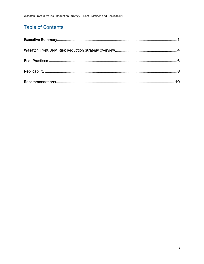### **Table of Contents**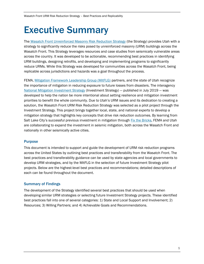### <span id="page-3-0"></span>Executive Summary

Th[e Wasatch Front Unreinforced Masonry Risk Reduction Strategy](https://www.fema.gov/sites/default/files/documents/fema_wasatch-front-urm-risk-reduction-strategy.pdf) (the Strategy) provides Utah with a strategy to significantly reduce the risks posed by unreinforced masonry (URM) buildings across the Wasatch Front. This Strategy leverages resources and case studies from seismically vulnerable areas across the country. It was developed to be actionable, recommending best practices in identifying URM buildings, designing retrofits, and developing and implementing programs to significantly reduce URMs. While this Strategy was developed for communities across the Wasatch Front, being replicable across jurisdictions and hazards was a goal throughout the process.

FEMA, [Mitigation Framework Leadership Group \(MitFLG\)](https://www.fema.gov/emergency-managers/national-preparedness/frameworks/mitigation/mitflg) partners, and the state of Utah recognize the importance of mitigation in reducing exposure to future losses from disasters. The interagency [National Mitigation Investment Strategy](https://www.fema.gov/sites/default/files/2020-10/fema_national-mitigation-investment-strategy.pdf) (Investment Strategy) — published in July 2019 — was developed to help the nation be more intentional about setting resilience and mitigation investment priorities to benefit the whole community. Due to Utah's URM issues and its dedication to creating a solution, the Wasatch Front URM Risk Reduction Strategy was selected as a pilot project through the Investment Strategy. This project brings together local, state, and national experts to develop a mitigation strategy that highlights key concepts that drive risk reduction outcomes. By learning from Salt Lake City's successful previous investment in mitigation through [Fix the Bricks,](https://www.slc.gov/em/fix-the-bricks/) FEMA and Utah are collaborating to expand the investment in seismic mitigation, both across the Wasatch Front and nationally in other seismically active cities.

#### **Purpose**

This document is intended to support and guide the development of URM risk reduction programs across the United States by outlining best practices and transferability from the Wasatch Front. The best practices and transferability guidance can be used by state agencies and local governments to develop URM strategies, and by the MitFLG in the selection of future Investment Strategy pilot projects. Below are the highest-level best practices and recommendations; detailed descriptions of each can be found throughout the document.

#### Summary of Findings

The development of the Strategy identified several best practices that should be used when developing similar URM strategies or selecting future Investment Strategy projects. These identified best practices fall into one of several categories: 1) State and Local Support and Involvement; 2) Resources; 3) Willing Partners; and 4) Achievable Goals and Recommendations.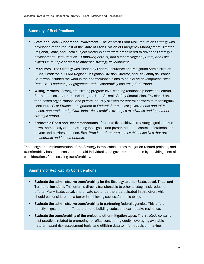#### Summary of Best Practices

- **EXECT** State and Local Support and Involvement The Wasatch Front Risk Reduction Strategy was developed at the request of the State of Utah Division of Emergency Management Director. Regional, State, and Local subject matter experts were empowered to drive the Strategy's development. *Best Practice – Empower, entrust, and support Regional, State, and Local experts in multiple sectors to influence strategy development.*
- **E** Resources The Strategy was funded by Federal Insurance and Mitigation Administration (FIMA) Leadership, FEMA Regional Mitigation Division Director, and Risk Analysis Branch Chief who included the work in their performance plans to help drive development. *Best Practice – Leadership engagement and accountability ensures prioritization.*
- **■** Willing Partners Strong pre-existing program-level working relationship between Federal, State, and Local partners including the Utah Seismic Safety Commission, Envision Utah, faith-based organizations, and private industry allowed for federal partners to meaningfully contribute. *Best Practice – Alignment of Federal, State, Local governments and faithbased, non-profit, and private industries establish synergies to advance and implement strategic efforts.*
- **EXECT** Achievable Goals and Recommendations Presents five achievable strategic goals broken down thematically around existing local goals and presented in the context of stakeholder drivers and barriers to action. *Best Practice – Generate achievable objectives that are measurable and implementable.*

The design and implementation of the Strategy is replicable across mitigation-related projects, and transferability has been considered to aid individuals and government entities by providing a set of considerations for assessing transferability.

#### Summary of Replicability Considerations

- Evaluate the administrative transferability for the Strategy to other State, Local, Tribal and Territorial locations. This effort is directly transferrable to other strategic risk reduction efforts. Many State, Local, and private sector partners participated in this effort which should be considered as a factor in achieving successful replicability.
- **Evaluate the administrative transferability to partnering federal agencies.** This effort directly aligns to other efforts related to building codes and earthquake resilience.
- Evaluate the transferability of the project to other mitigation types. The *Strategy* contains best practices related to promoting retrofits, considering equity, leveraging available natural hazard risk assessment tools, and utilizing data to inform decision making.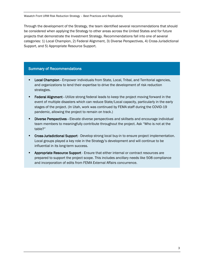Wasatch Front URM Risk Reduction Strategy – Best Practices and Replicability

Through the development of the Strategy, the team identified several recommendations that should be considered when applying the Strategy to other areas across the United States and for future projects that demonstrate the Investment Strategy. Recommendations fall into one of several categories: 1) Local Champion, 2) Federal Alignment, 3) Diverse Perspectives, 4) Cross-Jurisdictional Support, and 5) Appropriate Resource Support.

#### Summary of Recommendations

- **EXECT Local Champion** Empower individuals from State, Local, Tribal, and Territorial agencies, and organizations to lend their expertise to drive the development of risk reduction strategies.
- **Example 7 Federal Alignment** Utilize strong federal leads to keep the project moving forward in the event of multiple disasters which can reduce State/Local capacity, particularly in the early stages of the project. (In Utah, work was continued by FEMA staff during the COVID-19 pandemic, allowing the project to remain on track.)
- **EXECT:** Diverse Perspectives Elevate diverse perspectives and skillsets and encourage individual team members to meaningfully contribute throughout the project. Ask "Who is not at the table?"
- **Cross-Jurisdictional Support** Develop strong local buy-in to ensure project implementation. Local groups played a key role in the Strategy's development and will continue to be influential in its long-term success.
- **EXED Appropriate Resource Support** Ensure that either internal or contract resources are prepared to support the project scope. This includes ancillary needs like 508 compliance and incorporation of edits from FEMA External Affairs concurrence.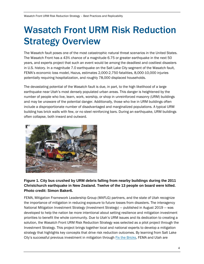### <span id="page-6-0"></span>Wasatch Front URM Risk Reduction Strategy Overview

The Wasatch fault poses one of the most catastrophic natural threat scenarios in the United States. The Wasatch Front has a 43% chance of a magnitude 6.75 or greater earthquake in the next 50 years, and experts project that such an event would be among the deadliest and costliest disasters in U.S. history. In a magnitude 7.0 earthquake on the Salt Lake City segment of the Wasatch fault, FEMA's economic loss model, Hazus, estimates 2,000-2,750 fatalities, 8,000-10,000 injuries potentially requiring hospitalization, and roughly 78,000 displaced households.

The devastating potential of the Wasatch fault is due, in part, to the high likelihood of a large earthquake near Utah's most densely populated urban areas. This danger is heightened by the number of people who live, learn, work, worship, or shop in unreinforced masonry (URM) buildings and may be unaware of the potential danger. Additionally, those who live in URM buildings often include a disproportionate number of disadvantaged and marginalized populations. A typical URM building has brick walls with few, or no steel reinforcing bars. During an earthquake, URM buildings often collapse, both inward and outward.



#### **Figure 1. City bus crushed by URM debris falling from nearby buildings during the 2011 Christchurch earthquake in New Zealand. Twelve of the 13 people on board were killed. Photo credit: Simon Baker6.**

FEMA, Mitigation Framework Leadership Group (MitFLG) partners, and the state of Utah recognize the importance of mitigation in reducing exposure to future losses from disasters. The interagency National Mitigation Investment Strategy (Investment Strategy) — published in August 2019 — was developed to help the nation be more intentional about setting resilience and mitigation investment priorities to benefit the whole community. Due to Utah's URM issues and its dedication to creating a solution, the Wasatch Front URM Risk Reduction Strategy was selected as a pilot project through the Investment Strategy. This project brings together local and national experts to develop a mitigation strategy that highlights key concepts that drive risk reduction outcomes. By learning from Salt Lake City's successful previous investment in mitigation through [Fix the Bricks,](https://www.slc.gov/em/fix-the-bricks/) FEMA and Utah are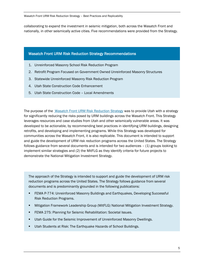collaborating to expand the investment in seismic mitigation, both across the Wasatch Front and nationally, in other seismically active cities. Five recommendations were provided from the Strategy.

#### Wasatch Front URM Risk Reduction Strategy Recommendations

- 1. Unreinforced Masonry School Risk Reduction Program
- 2. Retrofit Program Focused on Government Owned Unreinforced Masonry Structures
- 3. Statewide Unreinforced Masonry Risk Reduction Program
- 4. Utah State Construction Code Enhancement
- 5. Utah State Construction Code Local Amendments

The purpose of the [Wasatch Front URM Risk Reduction Strategy](https://www.fema.gov/sites/default/files/documents/fema_wasatch-front-urm-risk-reduction-strategy.pdf) was to provide Utah with a strategy for significantly reducing the risks posed by URM buildings across the Wasatch Front. This Strategy leverages resources and case studies from Utah and other seismically vulnerable areas. It was developed to be actionable, by recommending best practices in identifying URM buildings, designing retrofits, and developing and implementing programs. While this Strategy was developed for communities across the Wasatch Front, it is also replicable. This document is intended to support and guide the development of URM risk reduction programs across the United States. The Strategy follows guidance from several documents and is intended for two audiences – (1) groups looking to implement similar strategies and (2) the MitFLG as they identify criteria for future projects to demonstrate the National Mitigation Investment Strategy.

The approach of the Strategy is intended to support and guide the development of URM risk reduction programs across the United States. The Strategy follows guidance from several documents and is predominantly grounded in the following publications:

- FEMA P-774: Unreinforced Masonry Buildings and Earthquakes, Developing Successful Risk Reduction Programs.
- **■** Mitigation Framework Leadership Group (MitFLG) National Mitigation Investment Strategy.
- FEMA 275: Planning for Seismic Rehabilitation: Societal Issues.
- Utah Guide for the Seismic Improvement of Unreinforced Masonry Dwellings.
- Utah Students at Risk: The Earthquake Hazards of School Buildings.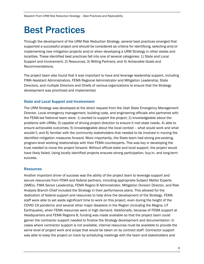### <span id="page-8-0"></span>Best Practices

Through the development of the URM Risk Reduction Strategy, several best practices emerged that supported a successful project and should be considered as criteria for identifying, selecting and/or implementing new mitigation projects and/or when developing a URM Strategy in other states and localities. These identified best practices fall into one of several categories: 1) State and Local Support and Involvement; 2) Resources; 3) Willing Partners; and 4) Achievable Goals and Recommendations.

The project team also found that it was important to have and leverage leadership support, including FIMA Assistant Administrators, FEMA Regional Administrator and Mitigation Leadership, State Directors, and multiple Directors and Chiefs of various organizations to ensure that the Strategy development was prioritized and implemented.

#### State and Local Support and Involvement

The URM Strategy was developed at the direct request from the Utah State Emergency Management Director. Local emergency management, building code, and engineering officials who partnered with the FEMA-led National team were: 1) excited to support the project; 2) knowledgeable about the problems with URMs; 3) capable of driving project direction to ensure it met state needs, 4) able to ensure achievable outcomes; 5) knowledgeable about the local context – what would work and what wouldn't; and 6) familiar with the community stakeholders that needed to be involved in moving the identified mitigation measures forward. More importantly, the State team had strong pre-existing, program-level working relationships with their FEMA counterparts. This was key in developing the trust needed to move the project forward. Without official state and local support, the project would have likely failed. Using locally identified projects ensures strong participation, buy-in, and long-term success.

#### **Resources**

Another important driver of success was the ability of the project team to leverage support and secure resources from FEMA and federal partners, including appropriate Subject Matter Experts (SMEs). FIMA Senior Leadership, FEMA Region 8 Administrator, Mitigation Division Director, and Risk Analysis Branch Chief included the Strategy in their performance plans. This allowed for the dedication of federal support and resources to help drive the development of the Strategy. FEMA staff were able to set aside significant time to work on this project, even during the height of the COVID-19 pandemic and several other major disasters in the Region (including the Magna, UT Earthquake), when FEMA resources were in high demand. Additionally, because of FEMA support at Headquarters and FEMA Regions 8, funding was made available so that the project team could garner the contractor support needed to finalize the Strategy development and documentation. In cases where contractor support is not available, internal resources must be available to provide the same level of project work and scope that would be taken on by contract staff. Contractor support was able to keep the project on track by scheduling meetings with the team and stakeholders and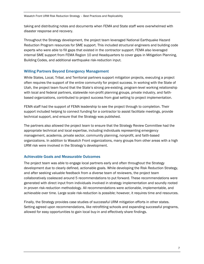taking and distributing notes and documents when FEMA and State staff were overwhelmed with disaster response and recovery.

Throughout the Strategy development, the project team leveraged National Earthquake Hazard Reduction Program resources for SME support. This included structural engineers and building code experts who were able to fill gaps that existed in the contractor support. FEMA also leveraged internal SME support from FEMA Region 10 and Headquarters to cover gaps in Mitigation Planning, Building Codes, and additional earthquake risk-reduction input.

#### Willing Partners Beyond Emergency Management

While States, Local, Tribal, and Territorial partners support mitigation projects, executing a project often requires the support of the entire community for project success. In working with the State of Utah, the project team found that the State's strong pre-existing, program-level working relationship with local and federal partners, statewide non-profit planning groups, private industry, and faithbased organizations, contributed to project success from goal setting to project implementation.

FEMA staff had the support of FEMA leadership to see the project through to completion. Their support included helping to connect funding for a contractor to assist facilitate meetings, provide technical support, and ensure that the Strategy was published.

The partners also allowed the project team to ensure that the Strategy Review Committee had the appropriate technical and local expertise, including individuals representing emergency management, academia, private sector, community planning, nonprofit, and faith-based organizations. In addition to Wasatch Front organizations, many groups from other areas with a high URM risk were involved in the Strategy's development.

#### Achievable Goals and Measurable Outcomes

The project team was able to engage local partners early and often throughout the Strategy development due to clearly defined, actionable goals. While developing the Risk Reduction Strategy, and after seeking valuable feedback from a diverse team of reviewers, the project team collaboratively coalesced around 5 recommendations to put forward. These recommendations were generated with direct input from individuals involved in strategy implementation and soundly rooted in proven risk-reduction methodology. All recommendations were actionable, implementable, and achievable over time. Large scale risk-reduction is possible; however, it requires time and resources.

Finally, the Strategy provides case studies of successful URM mitigation efforts in other states. Setting agreed upon recommendations, like retrofitting schools and expanding successful programs, allowed for easy opportunities to gain local buy-in and effectively share findings.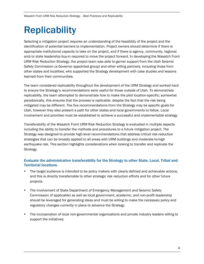## <span id="page-10-0"></span>**Replicability**

Selecting a mitigation project requires an understanding of the feasibility of the project and the identification of potential barriers to implementation. Project owners should determine if there is appropriate institutional capacity to take on the project, and if there is agency, community, regional and/or state leadership buy-in required to move the project forward. In developing the Wasatch Front URM Risk Reduction Strategy, the project team was able to garner support from the Utah Seismic Safety Commission (a Governor appointed group) and other willing partners, including those from other states and localities, who supported the Strategy development with case studies and lessons learned from their communities.

The team considered replicability throughout the development of the URM Strategy and worked hard to ensure the Strategy's recommendations were useful for those outside of Utah. To demonstrate replicability, the team attempted to demonstrate how to make the pilot location-specific; somewhat paradoxically, this ensures that the process is replicable, despite the fact that the risk being mitigated may be different. The five recommendations from the Strategy may be specific goals for Utah, however they also present a path for other states and local governments to follow. Local involvement and priorities must be established to achieve a successful and implementable strategy.

Transferability of the Wasatch Front URM Risk Reduction Strategy is evaluated in multiple aspects including the ability to transfer the methods and procedures to a future mitigation project. The Strategy was designed to provide high-level recommendations that address critical risk-reduction strategies that can be broadly applied to all areas with URM buildings and moderate-to-high earthquake risk. This section highlights considerations when looking to transfer and replicate the Strategy.

#### Evaluate the administrative transferability for the Strategy to other State, Local, Tribal and Territorial locations.

- The target audience is intended to be policy makers with clearly defined and achievable actions, and this is directly transferrable to other strategic risk reduction efforts and for other future projects.
- The involvement of State Department of Emergency Management and Seismic Safety Commission (if applicable) as well as local government, academic, and non-profit leadership should be leveraged for generating ideas and must be willing to make the necessary policy and regulatory changes currently in place to advance the Strategy.
- The incorporation of local non-governmental organizations and private industry leaders willing to support the initiatives.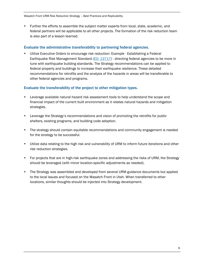Wasatch Front URM Risk Reduction Strategy – Best Practices and Replicability

Further the efforts to assemble the subject matter experts from local, state, academic, and federal partners will be applicable to all other projects. The formation of the risk reduction team is also part of a lesson learned.

#### Evaluate the administrative transferability to partnering federal agencies.

Utilize Executive Orders to encourage risk reduction: Example - Establishing a Federal Earthquake Risk Management Standard [\(EO: 13717\)](https://obamawhitehouse.archives.gov/the-press-office/2016/02/02/executive-order-establishing-federal-earthquake-risk-management-standard) - directing federal agencies to be more in tune with earthquake building standards. The Strategy recommendations can be applied to federal property and buildings to increase their earthquake resilience. These detailed recommendations for retrofits and the analysis of the hazards in areas will be transferable to other federal agencies and programs.

#### Evaluate the transferability of the project to other mitigation types.

- Leverage available natural hazard risk assessment tools to help understand the scope and financial impact of the current built environment as it relates natural hazards and mitigation strategies.
- **Leverage the Strategy's recommendations and vision of promoting the retrofits for public** shelters, existing programs, and building code adoption.
- **•** The strategy should contain equitable recommendations and community engagement is needed for the strategy to be successful.
- Utilize data relating to the high risk and vulnerability of URM to inform future iterations and other risk reduction strategies.
- For projects that are in high-risk earthquake zones and addressing the risks of URM, the Strategy should be leveraged (with minor location-specific adjustments as needed).
- The Strategy was assembled and developed from several URM guidance documents but applied to the local issues and focused on the Wasatch Front in Utah. When transferred to other locations, similar thoughts should be injected into Strategy development.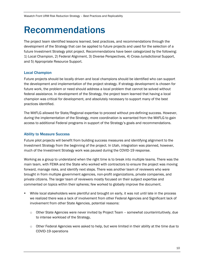### <span id="page-12-0"></span>Recommendations

The project team identified lessons learned, best practices, and recommendations through the development of the Strategy that can be applied to future projects and used for the selection of a future Investment Strategy pilot project. Recommendations have been categorized by the following: 1) Local Champion, 2) Federal Alignment, 3) Diverse Perspectives, 4) Cross-Jurisdictional Support, and 5) Appropriate Resource Support.

#### Local Champion

Future projects should be locally driven and local champions should be identified who can support the development and implementation of the project strategy. If strategy development is chosen for future work, the problem or need should address a local problem that cannot be solved without federal assistance. In development of the Strategy, the project team learned that having a local champion was critical for development, and absolutely necessary to support many of the best practices identified.

The MitFLG allowed for State/Regional expertise to proceed without pre-defining success. However, during the implementation of the Strategy, more coordination is warranted from the MitFLG to gain access to additional Federal programs in support of the Strategy's goals and recommendations.

#### Ability to Measure Success

Future pilot projects will benefit from building success measures and identifying alignment to the Investment Strategy from the beginning of the project. In Utah, integration was planned, however, much of the Investment Strategy work was paused during the COVID-19 response.

Working as a group to understand when the right time is to break into multiple teams. There was the main team, with FEMA and the State who worked with contractors to ensure the project was moving forward, manage risks, and identify next steps. There was another team of reviewers who were brought in from multiple government agencies, non-profit organizations, private companies, and private citizens. The larger team of reviewers mostly focused on their subject expertise and commented on topics within their spheres; few worked to globally improve the document.

- While local stakeholders were plentiful and brought on early, it was not until late in the process we realized there was a lack of involvement from other Federal Agencies and Significant lack of involvement from other State Agencies, potential reasons:
	- $\circ$  Other State Agencies were never invited by Project Team somewhat counterintuitively, due to intense workload of the Strategy,
	- $\circ$  Other Federal Agencies were asked to help, but were limited in their ability at the time due to COVID-19 operations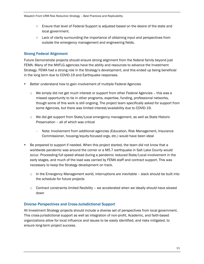- Ensure that level of Federal Support is adjusted based on the desire of the state and local government.
- Lack of clarity surrounding the importance of obtaining input and perspectives from outside the emergency management and engineering fields.

#### Strong Federal Alignment

Future Demonstrate projects should ensure strong alignment from the federal family beyond just FEMA. Many of the MitFLG agencies have the ability and resources to advance the Investment Strategy. FEMA had a strong role in the Strategy's development, and this ended up being beneficial in the long term due to COVID-19 and Earthquake responses.

- Better understand how to gain involvement of multiple Federal Agencies
	- $\circ$  We simply did not get much interest or support from other Federal Agencies this was a missed opportunity to tie in other programs, expertise, funding, professional networks, though some of this work is still ongoing. The project team specifically asked for support from some Agencies, but there was limited interest/availability due to COVID-19.
	- $\circ$  We did get support from State/Local emergency management, as well as State Historic Preservation – all of which was critical
		- ‒ Note: Involvement from additional agencies (Education, Risk Management, Insurance Commissioner, housing/equity-focused orgs, etc.) would have been ideal
- Be prepared to support if needed. When this project started, the team did not know that a worldwide pandemic was around the corner or a M5.7 earthquake in Salt Lake County would occur. Proceeding full speed ahead during a pandemic reduced State/Local involvement in the early stages, and much of the load was carried by FEMA staff and contract support. This was necessary to keep the Strategy development on track.
	- $\circ$  In the Emergency Management world, interruptions are inevitable slack should be built into the schedule for future projects
	- $\circ$  Contract constraints limited flexibility we accelerated when we ideally should have slowed down

#### Diverse Perspectives and Cross-Jurisdictional Support

All Investment Strategy projects should include a diverse set of perspectives from local government. This cross-jurisdictional support as well as integration of non-profit, Academic, and faith-based organizations allow for local influence and issues to be easily identified, and risks mitigated, to ensure long-term project success.